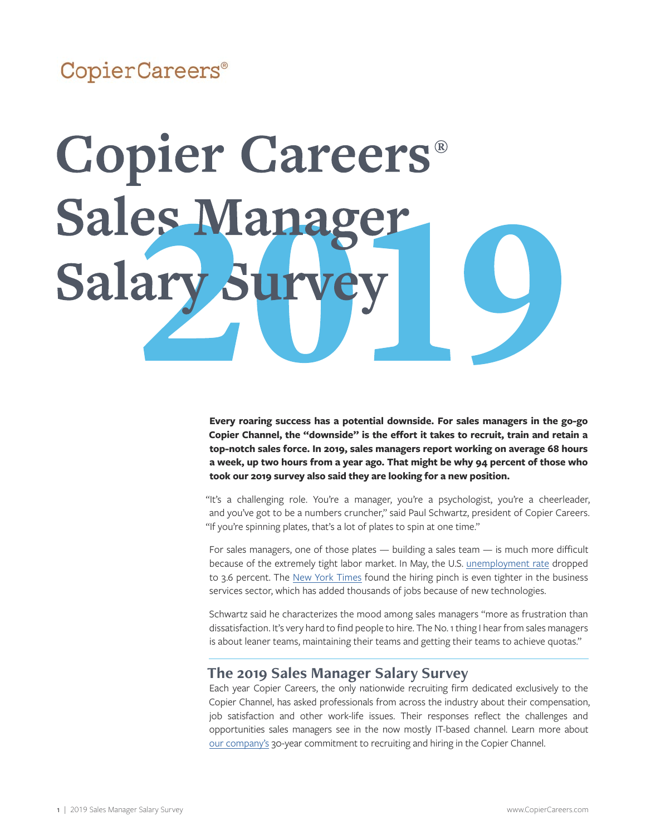# CopierCareers®

# **Copier Careers®** Sales Manag Salary St

**Every roaring success has a potential downside. For sales managers in the go-go Copier Channel, the "downside" is the effort it takes to recruit, train and retain a top-notch sales force. In 2019, sales managers report working on average 68 hours a week, up two hours from a year ago. That might be why 94 percent of those who took our 2019 survey also said they are looking for a new position.** 

"It's a challenging role. You're a manager, you're a psychologist, you're a cheerleader, and you've got to be a numbers cruncher," said Paul Schwartz, president of Copier Careers. "If you're spinning plates, that's a lot of plates to spin at one time."

For sales managers, one of those plates — building a sales team — is much more difficult because of the extremely tight labor market. In May, the U.S. [unemployment rate](http://www.ncsl.org/research/labor-and-employment/national-employment-monthly-update.aspx) dropped to 3.6 percent. The [New York Times](https://www.nytimes.com/2019/05/03/business/economy/jobs-report-april.html) found the hiring pinch is even tighter in the business services sector, which has added thousands of jobs because of new technologies.

Schwartz said he characterizes the mood among sales managers "more as frustration than dissatisfaction. It's very hard to find people to hire. The No. 1 thing I hear from sales managers is about leaner teams, maintaining their teams and getting their teams to achieve quotas."

### **The 2019 Sales Manager Salary Survey**

Each year Copier Careers, the only nationwide recruiting firm dedicated exclusively to the Copier Channel, has asked professionals from across the industry about their compensation, job satisfaction and other work-life issues. Their responses reflect the challenges and opportunities sales managers see in the now mostly IT-based channel. Learn more about [our company's](https://copiercareers.com/about-us/) 30-year commitment to recruiting and hiring in the Copier Channel.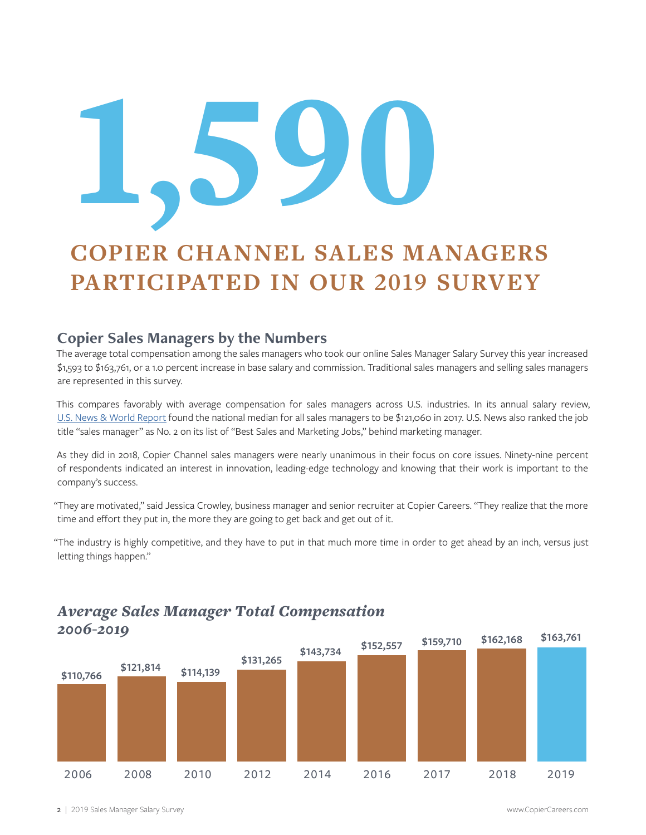# 1'590

# **COPIER CHANNEL SALES MANAGERS PARTICIPATED IN OUR 2019 SURVEY**

## **Copier Sales Managers by the Numbers**

The average total compensation among the sales managers who took our online Sales Manager Salary Survey this year increased \$1,593 to \$163,761, or a 1.0 percent increase in base salary and commission. Traditional sales managers and selling sales managers are represented in this survey.

This compares favorably with average compensation for sales managers across U.S. industries. In its annual salary review, [U.S. News & World Report](https://money.usnews.com/careers/best-jobs/sales-manager/salary) found the national median for all sales managers to be \$121,060 in 2017. U.S. News also ranked the job title "sales manager" as No. 2 on its list of "Best Sales and Marketing Jobs," behind marketing manager.

As they did in 2018, Copier Channel sales managers were nearly unanimous in their focus on core issues. Ninety-nine percent of respondents indicated an interest in innovation, leading-edge technology and knowing that their work is important to the company's success.

"They are motivated," said Jessica Crowley, business manager and senior recruiter at Copier Careers. "They realize that the more time and effort they put in, the more they are going to get back and get out of it.

"The industry is highly competitive, and they have to put in that much more time in order to get ahead by an inch, versus just letting things happen."



# *Average Sales Manager Total Compensation 2006-2019*

2 | 2019 Sales Manager Salary Survey www.CopierCareers.com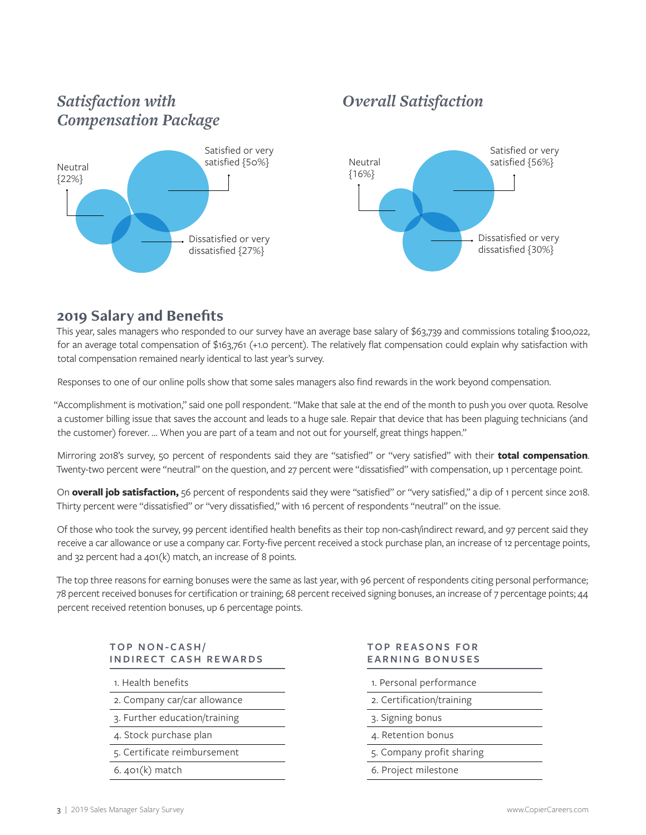# *Satisfaction with Compensation Package*



# *Overall Satisfaction*



#### **2019 Salary and Benefits**

This year, sales managers who responded to our survey have an average base salary of \$63,739 and commissions totaling \$100,022, for an average total compensation of \$163,761 (+1.0 percent). The relatively flat compensation could explain why satisfaction with total compensation remained nearly identical to last year's survey.

Responses to one of our online polls show that some sales managers also find rewards in the work beyond compensation.

"Accomplishment is motivation," said one poll respondent. "Make that sale at the end of the month to push you over quota. Resolve a customer billing issue that saves the account and leads to a huge sale. Repair that device that has been plaguing technicians (and the customer) forever. … When you are part of a team and not out for yourself, great things happen."

Mirroring 2018's survey, 50 percent of respondents said they are "satisfied" or "very satisfied" with their **total compensation**. Twenty-two percent were "neutral" on the question, and 27 percent were "dissatisfied" with compensation, up 1 percentage point.

On **overall job satisfaction,** 56 percent of respondents said they were "satisfied" or "very satisfied," a dip of 1 percent since 2018. Thirty percent were "dissatisfied" or "very dissatisfied," with 16 percent of respondents "neutral" on the issue.

Of those who took the survey, 99 percent identified health benefits as their top non-cash/indirect reward, and 97 percent said they receive a car allowance or use a company car. Forty-five percent received a stock purchase plan, an increase of 12 percentage points, and 32 percent had a 401(k) match, an increase of 8 points.

The top three reasons for earning bonuses were the same as last year, with 96 percent of respondents citing personal performance; 78 percent received bonuses for certification or training; 68 percent received signing bonuses, an increase of 7 percentage points; 44 percent received retention bonuses, up 6 percentage points.

#### **TOP NON-CASH/ INDIRECT CASH REWARDS**

1. Health benefits

- 2. Company car/car allowance
- 3. Further education/training
- 4. Stock purchase plan
- 5. Certificate reimbursement
- 6. 401(k) match

#### **T O P R E A S O N S F O R EARNING BONUSES**

1. Personal performance

- 2. Certification/training
- 3. Signing bonus
- 4. Retention bonus
- 5. Company profit sharing
- 6. Project milestone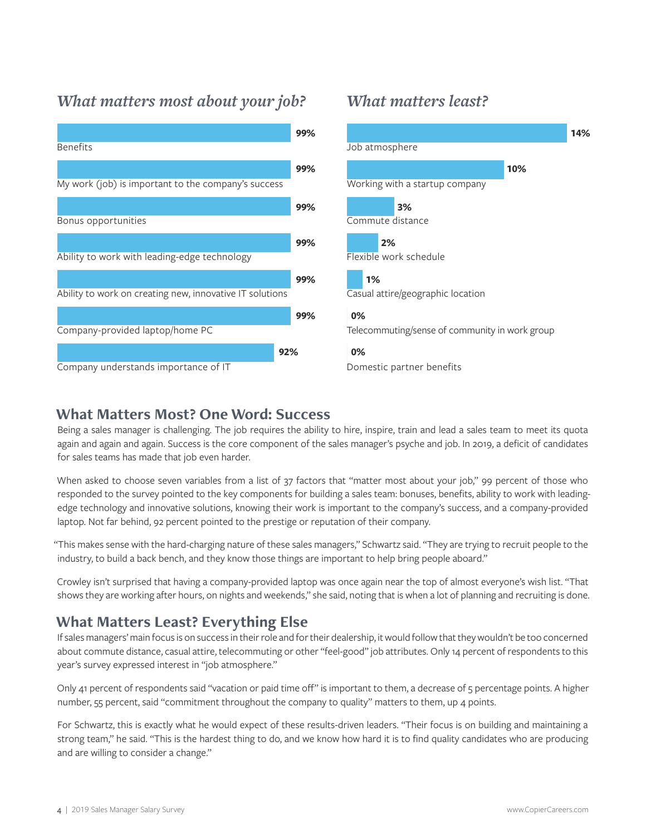# *What matters most about your job? What matters least?*





#### **What Matters Most? One Word: Success**

Being a sales manager is challenging. The job requires the ability to hire, inspire, train and lead a sales team to meet its quota again and again and again. Success is the core component of the sales manager's psyche and job. In 2019, a deficit of candidates for sales teams has made that job even harder.

When asked to choose seven variables from a list of 37 factors that "matter most about your job," 99 percent of those who responded to the survey pointed to the key components for building a sales team: bonuses, benefits, ability to work with leadingedge technology and innovative solutions, knowing their work is important to the company's success, and a company-provided laptop. Not far behind, 92 percent pointed to the prestige or reputation of their company.

"This makes sense with the hard-charging nature of these sales managers," Schwartz said. "They are trying to recruit people to the industry, to build a back bench, and they know those things are important to help bring people aboard."

Crowley isn't surprised that having a company-provided laptop was once again near the top of almost everyone's wish list. "That shows they are working after hours, on nights and weekends," she said, noting that is when a lot of planning and recruiting is done.

# **What Matters Least? Everything Else**

If sales managers' main focus is on success in their role and for their dealership, it would follow that they wouldn't be too concerned about commute distance, casual attire, telecommuting or other "feel-good" job attributes. Only 14 percent of respondents to this year's survey expressed interest in "job atmosphere."

Only 41 percent of respondents said "vacation or paid time off" is important to them, a decrease of 5 percentage points. A higher number, 55 percent, said "commitment throughout the company to quality" matters to them, up 4 points.

For Schwartz, this is exactly what he would expect of these results-driven leaders. "Their focus is on building and maintaining a strong team," he said. "This is the hardest thing to do, and we know how hard it is to find quality candidates who are producing and are willing to consider a change."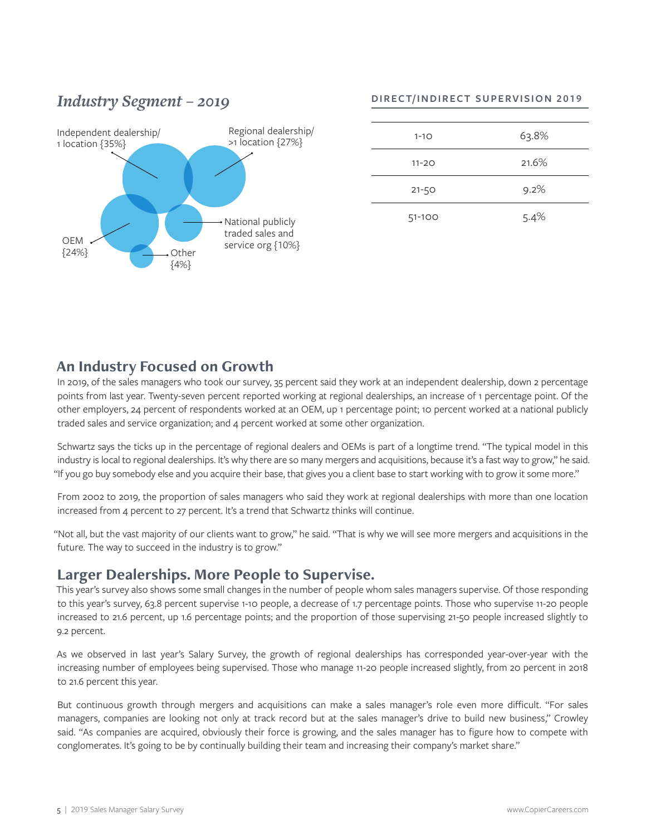# Independent dealership/ 1 location {35%} *Industry Segment – 2019* Regional dealership/ >1 location {27%} National publicly traded sales and Service org {10%}<br>Service org {10%}  ${24%}$ {4%}

#### **DIRECT/INDIRECT SUPERVISION 2019**

| $1 - 10$  | 63.8% |
|-----------|-------|
| $11 - 20$ | 21.6% |
| $21 - 50$ | 9.2%  |
| 51-100    | 5.4%  |

# **An Industry Focused on Growth**

In 2019, of the sales managers who took our survey, 35 percent said they work at an independent dealership, down 2 percentage points from last year. Twenty-seven percent reported working at regional dealerships, an increase of 1 percentage point. Of the other employers, 24 percent of respondents worked at an OEM, up 1 percentage point; 10 percent worked at a national publicly traded sales and service organization; and 4 percent worked at some other organization.

Schwartz says the ticks up in the percentage of regional dealers and OEMs is part of a longtime trend. "The typical model in this industry is local to regional dealerships. It's why there are so many mergers and acquisitions, because it's a fast way to grow," he said. "If you go buy somebody else and you acquire their base, that gives you a client base to start working with to grow it some more."

From 2002 to 2019, the proportion of sales managers who said they work at regional dealerships with more than one location increased from 4 percent to 27 percent. It's a trend that Schwartz thinks will continue.

"Not all, but the vast majority of our clients want to grow," he said. "That is why we will see more mergers and acquisitions in the future. The way to succeed in the industry is to grow."

# **Larger Dealerships. More People to Supervise.**

This year's survey also shows some small changes in the number of people whom sales managers supervise. Of those responding to this year's survey, 63.8 percent supervise 1-10 people, a decrease of 1.7 percentage points. Those who supervise 11-20 people increased to 21.6 percent, up 1.6 percentage points; and the proportion of those supervising 21-50 people increased slightly to 9.2 percent.

As we observed in last year's Salary Survey, the growth of regional dealerships has corresponded year-over-year with the increasing number of employees being supervised. Those who manage 11-20 people increased slightly, from 20 percent in 2018 to 21.6 percent this year.

But continuous growth through mergers and acquisitions can make a sales manager's role even more difficult. "For sales managers, companies are looking not only at track record but at the sales manager's drive to build new business," Crowley said. "As companies are acquired, obviously their force is growing, and the sales manager has to figure how to compete with conglomerates. It's going to be by continually building their team and increasing their company's market share."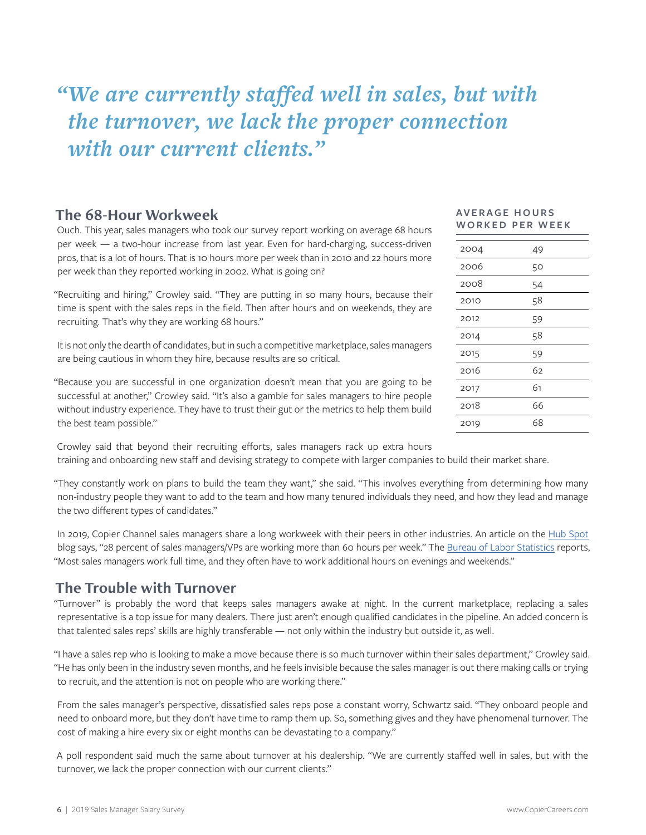# *"We are currently staffed well in sales, but with the turnover, we lack the proper connection with our current clients."*

#### **The 68-Hour Workweek**

Ouch. This year, sales managers who took our survey report working on average 68 hours per week — a two-hour increase from last year. Even for hard-charging, success-driven pros, that is a lot of hours. That is 10 hours more per week than in 2010 and 22 hours more per week than they reported working in 2002. What is going on?

"Recruiting and hiring," Crowley said. "They are putting in so many hours, because their time is spent with the sales reps in the field. Then after hours and on weekends, they are recruiting. That's why they are working 68 hours."

It is not only the dearth of candidates, but in such a competitive marketplace, sales managers are being cautious in whom they hire, because results are so critical.

"Because you are successful in one organization doesn't mean that you are going to be successful at another," Crowley said. "It's also a gamble for sales managers to hire people without industry experience. They have to trust their gut or the metrics to help them build the best team possible."

#### **AV E R A G E H O U R S WORKED PER WEEK**

| 2004 | 49 |
|------|----|
| 2006 | 50 |
| 2008 | 54 |
| 2010 | 58 |
| 2012 | 59 |
| 2014 | 58 |
| 2015 | 59 |
| 2016 | 62 |
| 2017 | 61 |
| 2018 | 66 |
| 2019 | 68 |
|      |    |

Crowley said that beyond their recruiting efforts, sales managers rack up extra hours training and onboarding new staff and devising strategy to compete with larger companies to build their market share.

"They constantly work on plans to build the team they want," she said. "This involves everything from determining how many non-industry people they want to add to the team and how many tenured individuals they need, and how they lead and manage the two different types of candidates."

In 2019, Copier Channel sales managers share a long workweek with their peers in other industries. An article on the [Hub Spot](https://blog.hubspot.com/sales/average-work-week-sales) blog says, "28 percent of sales managers/VPs are working more than 60 hours per week." The [Bureau of Labor Statistics](https://www.bls.gov/ooh/management/sales-managers.htm) reports, "Most sales managers work full time, and they often have to work additional hours on evenings and weekends."

# **The Trouble with Turnover**

"Turnover" is probably the word that keeps sales managers awake at night. In the current marketplace, replacing a sales representative is a top issue for many dealers. There just aren't enough qualified candidates in the pipeline. An added concern is that talented sales reps' skills are highly transferable — not only within the industry but outside it, as well.

"I have a sales rep who is looking to make a move because there is so much turnover within their sales department," Crowley said. "He has only been in the industry seven months, and he feels invisible because the sales manager is out there making calls or trying to recruit, and the attention is not on people who are working there."

From the sales manager's perspective, dissatisfied sales reps pose a constant worry, Schwartz said. "They onboard people and need to onboard more, but they don't have time to ramp them up. So, something gives and they have phenomenal turnover. The cost of making a hire every six or eight months can be devastating to a company."

A poll respondent said much the same about turnover at his dealership. "We are currently staffed well in sales, but with the turnover, we lack the proper connection with our current clients."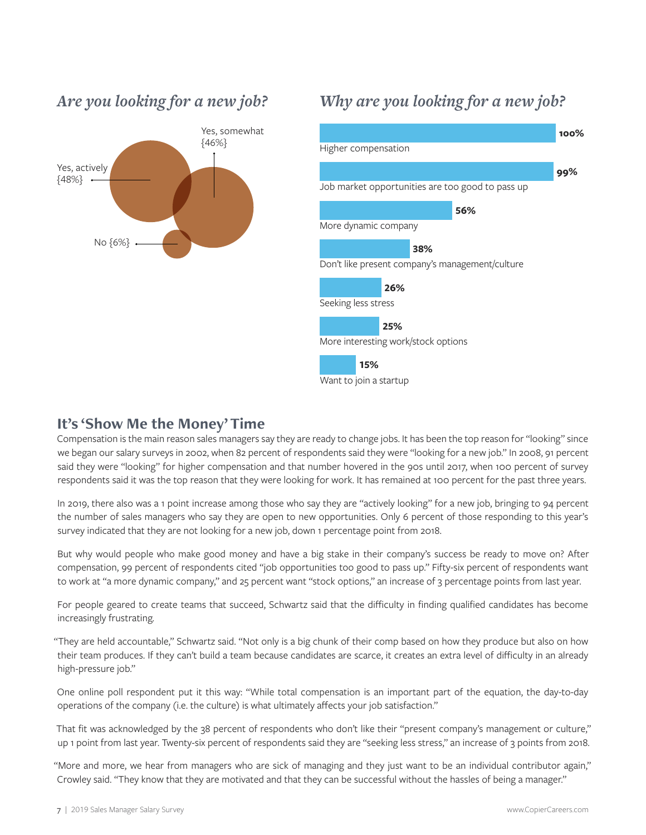

# *Are you looking for a new job?*

# *Why are you looking for a new job?*



# **It's 'Show Me the Money' Time**

Compensation is the main reason sales managers say they are ready to change jobs. It has been the top reason for "looking" since we began our salary surveys in 2002, when 82 percent of respondents said they were "looking for a new job." In 2008, 91 percent said they were "looking" for higher compensation and that number hovered in the 90s until 2017, when 100 percent of survey respondents said it was the top reason that they were looking for work. It has remained at 100 percent for the past three years.

In 2019, there also was a 1 point increase among those who say they are "actively looking" for a new job, bringing to 94 percent the number of sales managers who say they are open to new opportunities. Only 6 percent of those responding to this year's survey indicated that they are not looking for a new job, down 1 percentage point from 2018.

But why would people who make good money and have a big stake in their company's success be ready to move on? After compensation, 99 percent of respondents cited "job opportunities too good to pass up." Fifty-six percent of respondents want to work at "a more dynamic company," and 25 percent want "stock options," an increase of 3 percentage points from last year.

For people geared to create teams that succeed, Schwartz said that the difficulty in finding qualified candidates has become increasingly frustrating.

"They are held accountable," Schwartz said. "Not only is a big chunk of their comp based on how they produce but also on how their team produces. If they can't build a team because candidates are scarce, it creates an extra level of difficulty in an already high-pressure job."

One online poll respondent put it this way: "While total compensation is an important part of the equation, the day-to-day operations of the company (i.e. the culture) is what ultimately affects your job satisfaction."

That fit was acknowledged by the 38 percent of respondents who don't like their "present company's management or culture," up 1 point from last year. Twenty-six percent of respondents said they are "seeking less stress," an increase of 3 points from 2018.

"More and more, we hear from managers who are sick of managing and they just want to be an individual contributor again," Crowley said. "They know that they are motivated and that they can be successful without the hassles of being a manager."